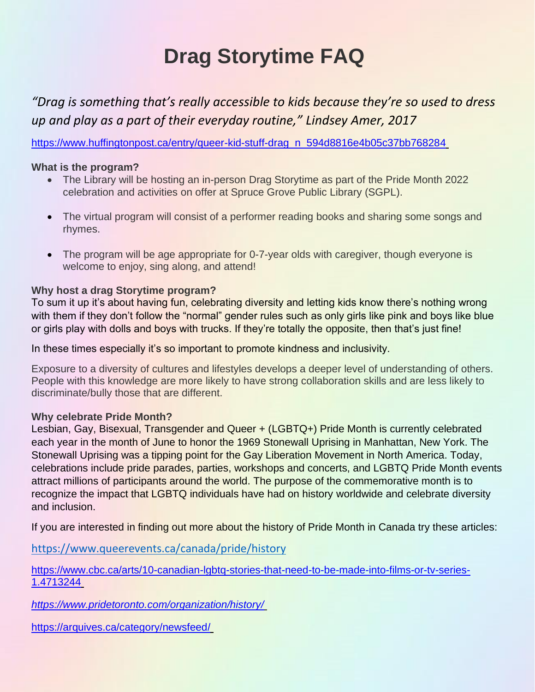# **Drag Storytime FAQ**

*"Drag is something that's really accessible to kids because they're so used to dress up and play as a part of their everyday routine," Lindsey Amer, 2017*

[https://www.huffingtonpost.ca/entry/queer-kid-stuff-drag\\_n\\_594d8816e4b05c37bb768284](https://www.huffingtonpost.ca/entry/queer-kid-stuff-drag_n_594d8816e4b05c37bb768284)\_

### **What is the program?**

- The Library will be hosting an in-person Drag Storytime as part of the Pride Month 2022 celebration and activities on offer at Spruce Grove Public Library (SGPL).
- The virtual program will consist of a performer reading books and sharing some songs and rhymes.
- The program will be age appropriate for 0-7-year olds with caregiver, though everyone is welcome to enjoy, sing along, and attend!

## **Why host a drag Storytime program?**

To sum it up it's about having fun, celebrating diversity and letting kids know there's nothing wrong with them if they don't follow the "normal" gender rules such as only girls like pink and boys like blue or girls play with dolls and boys with trucks. If they're totally the opposite, then that's just fine!

In these times especially it's so important to promote kindness and inclusivity.

Exposure to a diversity of cultures and lifestyles develops a deeper level of understanding of others. People with this knowledge are more likely to have strong collaboration skills and are less likely to discriminate/bully those that are different.

### **Why celebrate Pride Month?**

Lesbian, Gay, Bisexual, Transgender and Queer + (LGBTQ+) Pride Month is currently celebrated each year in the month of June to honor the 1969 Stonewall Uprising in Manhattan, New York. The Stonewall Uprising was a tipping point for the Gay Liberation Movement in North America. Today, celebrations include pride parades, parties, workshops and concerts, and LGBTQ Pride Month events attract millions of participants around the world. The purpose of the commemorative month is to recognize the impact that LGBTQ individuals have had on history worldwide and celebrate diversity and inclusion.

If you are interested in finding out more about the history of Pride Month in Canada try these articles:

<https://www.queerevents.ca/canada/pride/history>

[https://www.cbc.ca/arts/10-canadian-lgbtq-stories-that-need-to-be-made-into-films-or-tv-series-](https://www.cbc.ca/arts/10-canadian-lgbtq-stories-that-need-to-be-made-into-films-or-tv-series-1.4713244)[1.4713244](https://www.cbc.ca/arts/10-canadian-lgbtq-stories-that-need-to-be-made-into-films-or-tv-series-1.4713244)

*<https://www.pridetoronto.com/organization/history/>*

<https://arquives.ca/category/newsfeed/>